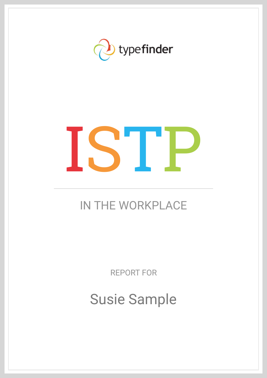

# ISTP

# IN THE WORKPLACE

REPORT FOR

Susie Sample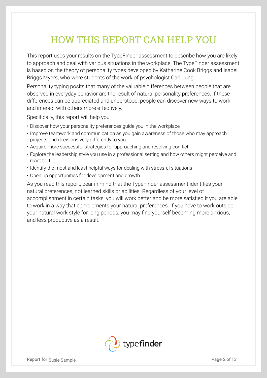## HOW THIS REPORT CAN HELP YOU

This report uses your results on the TypeFinder assessment to describe how you are likely to approach and deal with various situations in the workplace. The TypeFinder assessment is based on the theory of personality types developed by Katharine Cook Briggs and Isabel Briggs Myers, who were students of the work of psychologist Carl Jung.

Personality typing posits that many of the valuable differences between people that are observed in everyday behavior are the result of natural personality preferences. If these differences can be appreciated and understood, people can discover new ways to work and interact with others more effectively.

Specifically, this report will help you:

- Discover how your personality preferences guide you in the workplace
- Improve teamwork and communication as you gain awareness of those who may approach projects and decisions very differently to you
- Acquire more successful strategies for approaching and resolving conflict
- Explore the leadership style you use in a professional setting and how others might perceive and react to it
- Identify the most and least helpful ways for dealing with stressful situations
- Open up opportunities for development and growth.

As you read this report, bear in mind that the TypeFinder assessment identifies your natural preferences, not learned skills or abilities. Regardless of your level of accomplishment in certain tasks, you will work better and be more satisfied if you are able to work in a way that complements your natural preferences. If you have to work outside your natural work style for long periods, you may find yourself becoming more anxious, and less productive as a result.

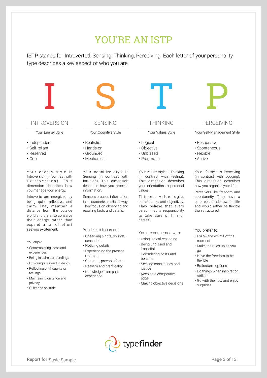## YOU'RE AN ISTP

ISTP stands for Introverted, Sensing, Thinking, Perceiving. Each letter of your personality type describes a key aspect of who you are.



#### INTROVERSION

Your Energy Style

- Independent
- Self-reliant
- Reserved
- Cool

Your energy style is Introversion (in contrast with Extraversion). This dimension describes how you manage your energy.

Introverts are energized by being quiet, reflective, and calm. They maintain a distance from the outside world and prefer to conserve their energy rather than expend a lot of effort seeking excitement.

#### You enjoy:

- Contemplating ideas and experiences
- Being in calm surroundings
- Exploring a subject in depth
- Reflecting on thoughts or feelings
- Maintaining distance and privacy
- Quiet and solitude

#### SENSING

Your Cognitive Style

- Realistic
- Hands-on
- Grounded
- Mechanical

Your cognitive style is Sensing (in contrast with Intuition). This dimension describes how you process information.

Sensors process information in a concrete, realistic way. They focus on observing and recalling facts and details.

You like to focus on:

- Observing sights, sounds, sensations
- Noticing details
- Experiencing the present moment
- Concrete, provable facts
- Realism and practicality
- Knowledge from past experience



#### THINKING

Your Values Style

- Logical
- Objective
- Unbiased
- Pragmatic

Your values style is Thinking (in contrast with Feeling). This dimension describes your orientation to personal values.

Thinkers value logic, competence, and objectivity. They believe that every person has a responsibility to take care of him or herself.

#### You are concerned with:

- Using logical reasoning • Being unbiased and impartial
- Considering costs and benefits
- Seeking consistency and iustice
- Keeping a competitive edge
- Making objective decisions



#### PERCEIVING

Your Self-Management Style

- Responsive
- Spontaneous
- Flexible
- Active

Your life style is Perceiving (in contrast with Judging). This dimension describes how you organize your life.

Perceivers like freedom and spontaneity. They have a carefree attitude towards life and would rather be flexible than structured.

#### You prefer to:

- Follow the whims of the moment
- Make the rules up as you go
- Have the freedom to be flexible
- Brainstorm options
- Do things when inspiration strikes
- Go with the flow and enjoy surprises



- 
-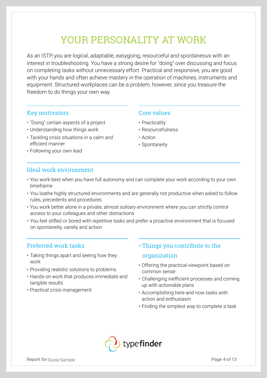## YOUR PERSONALITY AT WORK

As an ISTP, you are logical, adaptable, easygoing, resourceful and spontaneous with an interest in troubleshooting. You have a strong desire for "doing" over discussing and focus on completing tasks without unnecessary effort. Practical and responsive, you are good with your hands and often achieve mastery in the operation of machines, instruments and equipment. Structured workplaces can be a problem, however, since you treasure the freedom to do things your own way.

#### Key motivators

- "Doing" certain aspects of a project
- Understanding how things work
- Tackling crisis situations in a calm and efficient manner
- Following your own lead

#### Core values

- Practicality
- Resourcefulness
- Action
- Spontaneity

#### Ideal work environment

- You work best when you have full autonomy and can complete your work according to your own timeframe
- You loathe highly structured environments and are generally not productive when asked to follow rules, precedents and procedures
- You work better alone in a private, almost solitary environment where you can strictly control access to your colleagues and other distractions
- You feel stifled or bored with repetitive tasks and prefer a proactive environment that is focused on spontaneity, variety and action

#### Preferred work tasks

- Taking things apart and seeing how they work
- Providing realistic solutions to problems
- Hands-on work that produces immediate and tangible results
- Practical crisis management
- Things you contribute to the organization
- Offering the practical viewpoint based on common sense
- Challenging inefficient processes and coming up with actionable plans
- Accomplishing here-and-now tasks with action and enthusiasm
- Finding the simplest way to complete a task

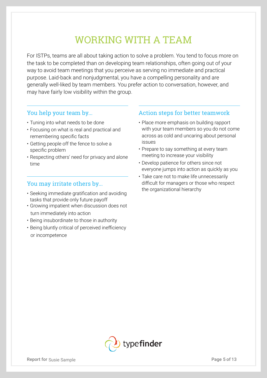## WORKING WITH A TEAM

For ISTPs, teams are all about taking action to solve a problem. You tend to focus more on the task to be completed than on developing team relationships, often going out of your way to avoid team meetings that you perceive as serving no immediate and practical purpose. Laid-back and nonjudgmental, you have a compelling personality and are generally well-liked by team members. You prefer action to conversation, however, and may have fairly low visibility within the group.

#### You help your team by...

- Tuning into what needs to be done
- Focusing on what is real and practical and remembering specific facts
- Getting people off the fence to solve a specific problem
- Respecting others' need for privacy and alone time

### You may irritate others by...

- Seeking immediate gratification and avoiding tasks that provide only future payoff
- Growing impatient when discussion does not turn immediately into action
- Being insubordinate to those in authority
- Being bluntly critical of perceived inefficiency or incompetence

### Action steps for better teamwork

- Place more emphasis on building rapport with your team members so you do not come across as cold and uncaring about personal issues
- Prepare to say something at every team meeting to increase your visibility
- Develop patience for others since not everyone jumps into action as quickly as you
- Take care not to make life unnecessarily difficult for managers or those who respect the organizational hierarchy

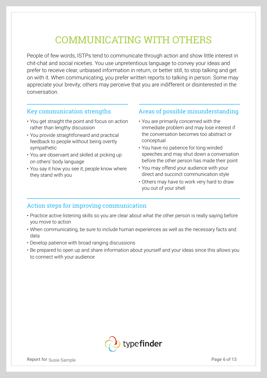## COMMUNICATING WITH OTHERS

People of few words, ISTPs tend to communicate through action and show little interest in chit-chat and social niceties. You use unpretentious language to convey your ideas and prefer to receive clear, unbiased information in return, or better still, to stop talking and get on with it. When communicating, you prefer written reports to talking in person. Some may appreciate your brevity; others may perceive that you are indifferent or disinterested in the conversation.

#### Key communication strengths

- You get straight the point and focus on action rather than lengthy discussion
- You provide straightforward and practical feedback to people without being overtly sympathetic
- You are observant and skilled at picking up on others' body language
- You say it how you see it; people know where they stand with you

#### Areas of possible misunderstanding

- You are primarily concerned with the immediate problem and may lose interest if the conversation becomes too abstract or conceptual
- You have no patience for long-winded speeches and may shut down a conversation before the other person has made their point
- You may offend your audience with your direct and succinct communication style
- Others may have to work very hard to draw you out of your shell

## Action steps for improving communication

- Practice active listening skills so you are clear about what the other person is really saying before you move to action
- When communicating, be sure to include human experiences as well as the necessary facts and data
- Develop patience with broad ranging discussions
- Be prepared to open up and share information about yourself and your ideas since this allows you to connect with your audience

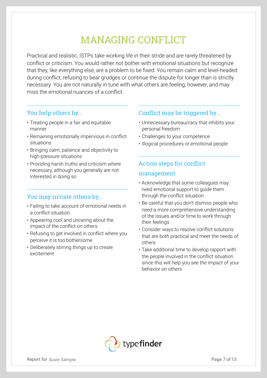# MANAGING CONFLICT

Practical and realistic, ISTPs take working life in their stride and are rarely threatened by conflict or criticism. You would rather not bother with emotional situations but recognize that they, like everything else, are a problem to be fixed. You remain calm and level-headed during conflict, refusing to bear grudges or continue the dispute for longer than is strictly necessary. You are not naturally in tune with what others are feeling, however, and may miss the emotional nuances of a conflict.

### You help others by...

- Treating people in a fair and equitable manner
- Remaining emotionally impervious in conflict situations
- Bringing calm, patience and objectivity to high-pressure situations
- Providing harsh truths and criticism where necessary, although you generally are not interested in doing so

#### You may irritate others by...

- Failing to take account of emotional needs in a conflict situation
- Appearing cool and uncaring about the impact of the conflict on others
- Refusing to get involved in conflict where you perceive it is too bothersome
- Deliberately stirring things up to create excitement

#### Conflict may be triggered by...

- Unnecessary bureaucracy that inhibits your personal freedom
- Challenges to your competence
- Illogical procedures or emotional people

## Action steps for conflict management

- Acknowledge that some colleagues may need emotional support to guide them through the conflict situation
- Be careful that you don't dismiss people who need a more comprehensive understanding of the issues and/or time to work through their feelings
- Consider ways to resolve conflict solutions that are both practical and meet the needs of others
- Take additional time to develop rapport with the people involved in the conflict situation since this will help you see the impact of your behavior on others

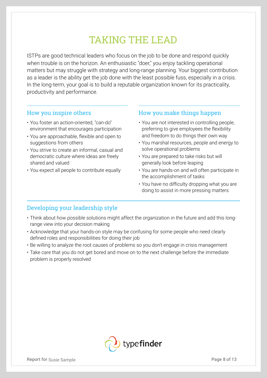## TAKING THE LEAD

ISTPs are good technical leaders who focus on the job to be done and respond quickly when trouble is on the horizon. An enthusiastic "doer," you enjoy tackling operational matters but may struggle with strategy and long-range planning. Your biggest contribution as a leader is the ability get the job done with the least possible fuss, especially in a crisis. In the long-term, your goal is to build a reputable organization known for its practicality, productivity and performance.

#### How you inspire others

- You foster an action-oriented, "can-do" environment that encourages participation
- You are approachable, flexible and open to suggestions from others
- You strive to create an informal, casual and democratic culture where ideas are freely shared and valued
- You expect all people to contribute equally

#### How you make things happen

- You are not interested in controlling people, preferring to give employees the flexibility and freedom to do things their own way
- You marshal resources, people and energy to solve operational problems
- You are prepared to take risks but will generally look before leaping
- You are hands-on and will often participate in the accomplishment of tasks
- You have no difficulty dropping what you are doing to assist in more pressing matters

#### Developing your leadership style

- Think about how possible solutions might affect the organization in the future and add this longrange view into your decision making
- Acknowledge that your hands-on style may be confusing for some people who need clearly defined roles and responsibilities for doing their job
- Be willing to analyze the root causes of problems so you don't engage in crisis management
- Take care that you do not get bored and move on to the next challenge before the immediate problem is properly resolved

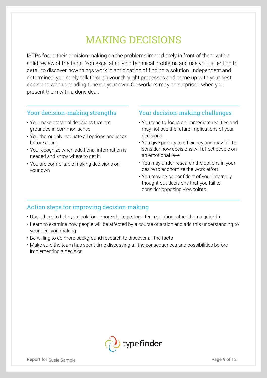## MAKING DECISIONS

ISTPs focus their decision making on the problems immediately in front of them with a solid review of the facts. You excel at solving technical problems and use your attention to detail to discover how things work in anticipation of finding a solution. Independent and determined, you rarely talk through your thought processes and come up with your best decisions when spending time on your own. Co-workers may be surprised when you present them with a done deal.

#### Your decision-making strengths

- You make practical decisions that are grounded in common sense
- You thoroughly evaluate all options and ideas before acting
- You recognize when additional information is needed and know where to get it
- You are comfortable making decisions on your own

Your decision-making challenges

- You tend to focus on immediate realities and may not see the future implications of your decisions
- You give priority to efficiency and may fail to consider how decisions will affect people on an emotional level
- You may under-research the options in your desire to economize the work effort
- You may be so confident of your internally thought-out decisions that you fail to consider opposing viewpoints

#### Action steps for improving decision making

- Use others to help you look for a more strategic, long-term solution rather than a quick fix
- Learn to examine how people will be affected by a course of action and add this understanding to your decision making
- Be willing to do more background research to discover all the facts
- Make sure the team has spent time discussing all the consequences and possibilities before implementing a decision

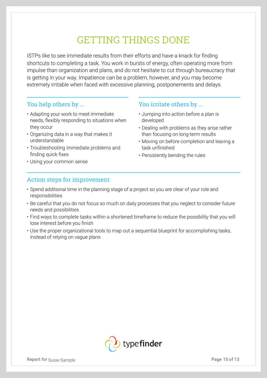## GETTING THINGS DONE

ISTPs like to see immediate results from their efforts and have a knack for finding shortcuts to completing a task. You work in bursts of energy, often operating more from impulse than organization and plans, and do not hesitate to cut through bureaucracy that is getting in your way. Impatience can be a problem, however, and you may become extremely irritable when faced with excessive planning, postponements and delays.

#### You help others by ...

- Adapting your work to meet immediate needs, flexibly responding to situations when they occur
- Organizing data in a way that makes it understandable
- Troubleshooting immediate problems and finding quick fixes
- Using your common sense

#### You irritate others by ...

- Jumping into action before a plan is developed
- Dealing with problems as they arise rather than focusing on long-term results
- Moving on before completion and leaving a task unfinished
- Persistently bending the rules

#### Action steps for improvement

- Spend additional time in the planning stage of a project so you are clear of your role and responsibilities
- Be careful that you do not focus so much on daily processes that you neglect to consider future needs and possibilities
- Find ways to complete tasks within a shortened timeframe to reduce the possibility that you will lose interest before you finish
- Use the proper organizational tools to map out a sequential blueprint for accomplishing tasks, instead of relying on vague plans

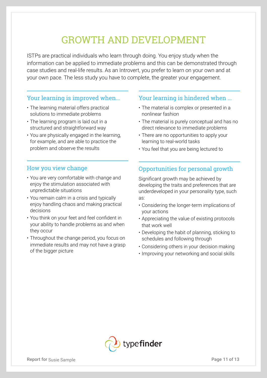## GROWTH AND DEVELOPMENT

ISTPs are practical individuals who learn through doing. You enjoy study when the information can be applied to immediate problems and this can be demonstrated through case studies and real-life results. As an Introvert, you prefer to learn on your own and at your own pace. The less study you have to complete, the greater your engagement.

#### Your learning is improved when...

- The learning material offers practical solutions to immediate problems
- The learning program is laid out in a structured and straightforward way
- You are physically engaged in the learning, for example, and are able to practice the problem and observe the results

#### How you view change

- You are very comfortable with change and enjoy the stimulation associated with unpredictable situations
- You remain calm in a crisis and typically enjoy handling chaos and making practical decisions
- You think on your feet and feel confident in your ability to handle problems as and when they occur
- Throughout the change period, you focus on immediate results and may not have a grasp of the bigger picture

#### Your learning is hindered when ...

- The material is complex or presented in a nonlinear fashion
- The material is purely conceptual and has no direct relevance to immediate problems
- There are no opportunities to apply your learning to real-world tasks
- You feel that you are being lectured to

## Opportunities for personal growth

Significant growth may be achieved by developing the traits and preferences that are underdeveloped in your personality type, such as:

- Considering the longer-term implications of your actions
- Appreciating the value of existing protocols that work well
- Developing the habit of planning, sticking to schedules and following through
- Considering others in your decision making
- Improving your networking and social skills

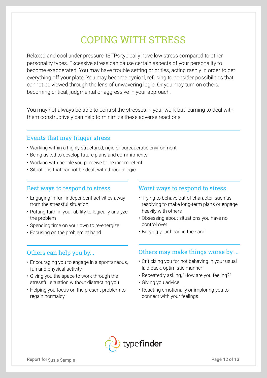## COPING WITH STRESS

Relaxed and cool under pressure, ISTPs typically have low stress compared to other personality types. Excessive stress can cause certain aspects of your personality to become exaggerated. You may have trouble setting priorities, acting rashly in order to get everything off your plate. You may become cynical, refusing to consider possibilities that cannot be viewed through the lens of unwavering logic. Or you may turn on others, becoming critical, judgmental or aggressive in your approach.

You may not always be able to control the stresses in your work but learning to deal with them constructively can help to minimize these adverse reactions.

#### Events that may trigger stress

- Working within a highly structured, rigid or bureaucratic environment
- Being asked to develop future plans and commitments
- Working with people you perceive to be incompetent
- Situations that cannot be dealt with through logic

#### Best ways to respond to stress

- Engaging in fun, independent activities away from the stressful situation
- Putting faith in your ability to logically analyze the problem
- Spending time on your own to re-energize
- Focusing on the problem at hand

#### Others can help you by...

- Encouraging you to engage in a spontaneous, fun and physical activity
- Giving you the space to work through the stressful situation without distracting you
- Helping you focus on the present problem to regain normalcy

#### Worst ways to respond to stress

- Trying to behave out of character, such as resolving to make long-term plans or engage heavily with others
- Obsessing about situations you have no control over
- Burying your head in the sand

#### Others may make things worse by ...

- Criticizing you for not behaving in your usual laid back, optimistic manner
- Repeatedly asking, "How are you feeling?"
- Giving you advice
- Reacting emotionally or imploring you to connect with your feelings